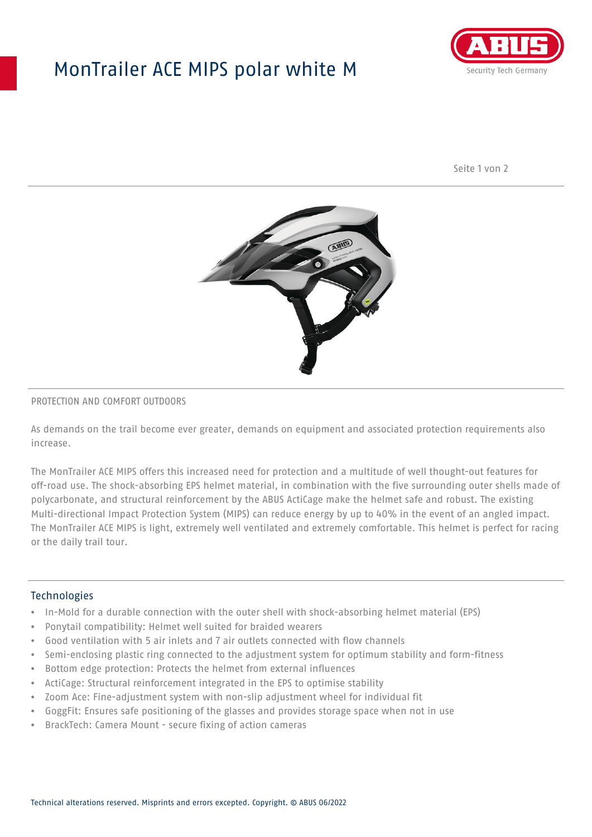## MonTrailer ACE MIPS polar white M



Seite 1 von 2



#### PROTECTION AND COMFORT OUTDOORS

As demands on the trail become ever greater, demands on equipment and associated protection requirements also increase.

The MonTrailer ACE MIPS offers this increased need for protection and a multitude of well thought-out features for off-road use. The shock-absorbing EPS helmet material, in combination with the five surrounding outer shells made of polycarbonate, and structural reinforcement by the ABUS ActiCage make the helmet safe and robust. The existing Multi-directional Impact Protection System (MIPS) can reduce energy by up to 40% in the event of an angled impact. The MonTrailer ACE MIPS is light, extremely well ventilated and extremely comfortable. This helmet is perfect for racing or the daily trail tour.

### **Technologies**

- In-Mold for a durable connection with the outer shell with shock-absorbing helmet material (EPS)
- Ponytail compatibility: Helmet well suited for braided wearers
- Good ventilation with 5 air inlets and 7 air outlets connected with flow channels
- Semi-enclosing plastic ring connected to the adjustment system for optimum stability and form-fitness
- Bottom edge protection: Protects the helmet from external influences
- ActiCage: Structural reinforcement integrated in the EPS to optimise stability
- Zoom Ace: Fine-adjustment system with non-slip adjustment wheel for individual fit
- GoggFit: Ensures safe positioning of the glasses and provides storage space when not in use
- BrackTech: Camera Mount secure fixing of action cameras